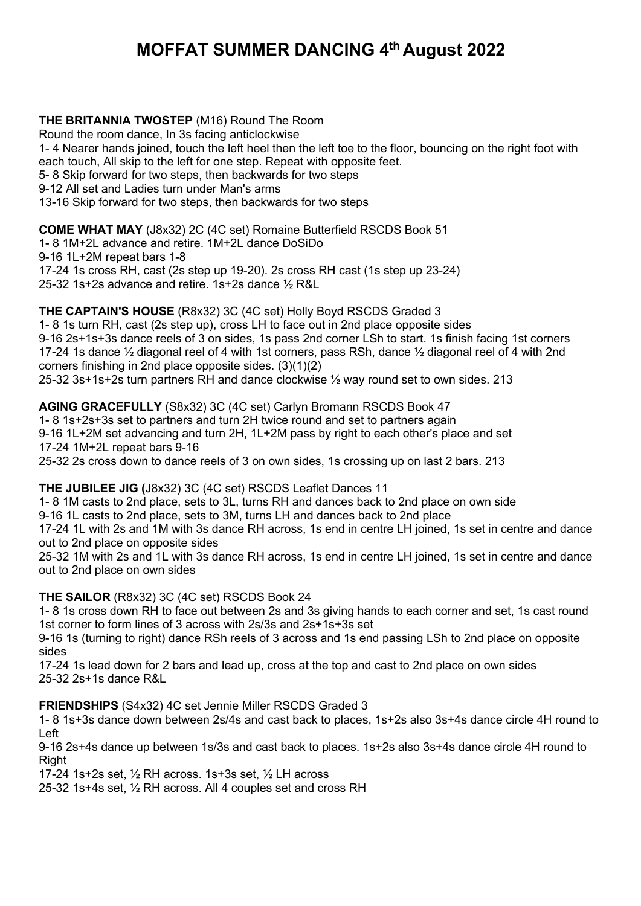## **MOFFAT SUMMER DANCING 4th August 2022**

**THE BRITANNIA TWOSTEP** (M16) Round The Room Round the room dance, In 3s facing anticlockwise 1- 4 Nearer hands joined, touch the left heel then the left toe to the floor, bouncing on the right foot with each touch, All skip to the left for one step. Repeat with opposite feet. 5- 8 Skip forward for two steps, then backwards for two steps 9-12 All set and Ladies turn under Man's arms 13-16 Skip forward for two steps, then backwards for two steps

**COME WHAT MAY** (J8x32) 2C (4C set) Romaine Butterfield RSCDS Book 51

1- 8 1M+2L advance and retire. 1M+2L dance DoSiDo

9-16 1L+2M repeat bars 1-8

17-24 1s cross RH, cast (2s step up 19-20). 2s cross RH cast (1s step up 23-24)

25-32 1s+2s advance and retire. 1s+2s dance ½ R&L

**THE CAPTAIN'S HOUSE** (R8x32) 3C (4C set) Holly Boyd RSCDS Graded 3 1- 8 1s turn RH, cast (2s step up), cross LH to face out in 2nd place opposite sides 9-16 2s+1s+3s dance reels of 3 on sides, 1s pass 2nd corner LSh to start. 1s finish facing 1st corners 17-24 1s dance ½ diagonal reel of 4 with 1st corners, pass RSh, dance ½ diagonal reel of 4 with 2nd corners finishing in 2nd place opposite sides. (3)(1)(2) 25-32 3s+1s+2s turn partners RH and dance clockwise ½ way round set to own sides. 213

**AGING GRACEFULLY** (S8x32) 3C (4C set) Carlyn Bromann RSCDS Book 47 1- 8 1s+2s+3s set to partners and turn 2H twice round and set to partners again 9-16 1L+2M set advancing and turn 2H, 1L+2M pass by right to each other's place and set 17-24 1M+2L repeat bars 9-16 25-32 2s cross down to dance reels of 3 on own sides, 1s crossing up on last 2 bars. 213

**THE JUBILEE JIG (**J8x32) 3C (4C set) RSCDS Leaflet Dances 11

1- 8 1M casts to 2nd place, sets to 3L, turns RH and dances back to 2nd place on own side

9-16 1L casts to 2nd place, sets to 3M, turns LH and dances back to 2nd place

17-24 1L with 2s and 1M with 3s dance RH across, 1s end in centre LH joined, 1s set in centre and dance out to 2nd place on opposite sides

25-32 1M with 2s and 1L with 3s dance RH across, 1s end in centre LH joined, 1s set in centre and dance out to 2nd place on own sides

**THE SAILOR** (R8x32) 3C (4C set) RSCDS Book 24

1- 8 1s cross down RH to face out between 2s and 3s giving hands to each corner and set, 1s cast round 1st corner to form lines of 3 across with 2s/3s and 2s+1s+3s set

9-16 1s (turning to right) dance RSh reels of 3 across and 1s end passing LSh to 2nd place on opposite sides

17-24 1s lead down for 2 bars and lead up, cross at the top and cast to 2nd place on own sides 25-32 2s+1s dance R&L

**FRIENDSHIPS** (S4x32) 4C set Jennie Miller RSCDS Graded 3

1- 8 1s+3s dance down between 2s/4s and cast back to places, 1s+2s also 3s+4s dance circle 4H round to Left

9-16 2s+4s dance up between 1s/3s and cast back to places. 1s+2s also 3s+4s dance circle 4H round to **Right** 

17-24 1s+2s set, ½ RH across. 1s+3s set, ½ LH across

25-32 1s+4s set, ½ RH across. All 4 couples set and cross RH